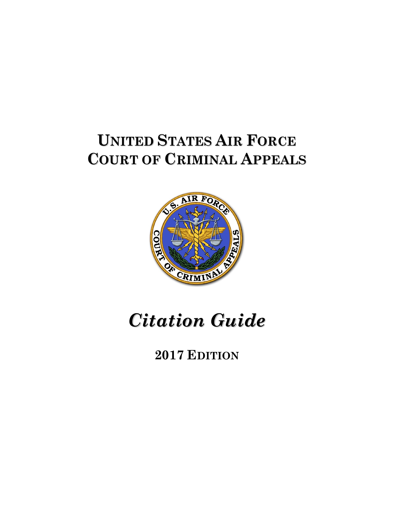# **UNITED STATES AIR FORCE COURT OF CRIMINAL APPEALS**



# *Citation Guide*

## **2017 EDITION**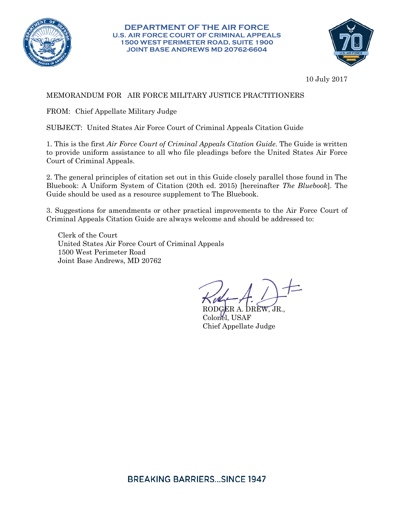

**DEPARTMENT OF THE AIR FORCE U.S. AIR FORCE COURT OF CRIMINAL APPEALS 1500 WEST PERIMETER ROAD, SUITE 1900 JOINT BASE ANDREWS MD 20762-6604**



10 July 2017

## MEMORANDUM FOR AIR FORCE MILITARY JUSTICE PRACTITIONERS

FROM: Chief Appellate Military Judge

SUBJECT: United States Air Force Court of Criminal Appeals Citation Guide

1. This is the first *Air Force Court of Criminal Appeals Citation Guide*. The Guide is written to provide uniform assistance to all who file pleadings before the United States Air Force Court of Criminal Appeals.

2. The general principles of citation set out in this Guide closely parallel those found in The Bluebook: A Uniform System of Citation (20th ed. 2015) [hereinafter *The Bluebook*]. The Guide should be used as a resource supplement to The Bluebook.

3. Suggestions for amendments or other practical improvements to the Air Force Court of Criminal Appeals Citation Guide are always welcome and should be addressed to:

Clerk of the Court United States Air Force Court of Criminal Appeals 1500 West Perimeter Road Joint Base Andrews, MD 20762

RODGER A. DREW, JR., Colonel, USAF Chief Appellate Judge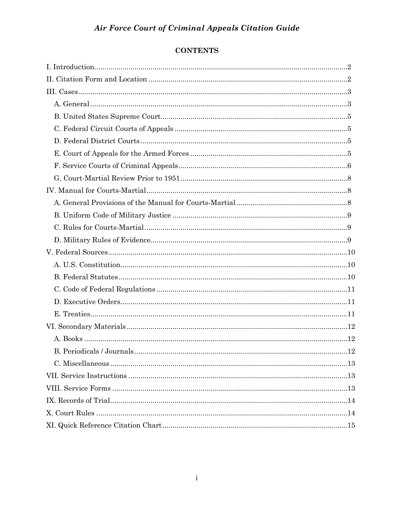## **CONTENTS**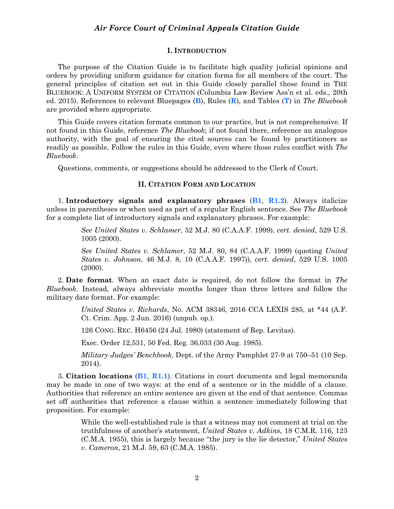#### **I. INTRODUCTION**

<span id="page-3-0"></span>The purpose of the Citation Guide is to facilitate high quality judicial opinions and orders by providing uniform guidance for citation forms for all members of the court. The general principles of citation set out in this Guide closely parallel those found in THE BLUEBOOK: A UNIFORM SYSTEM OF CITATION (Columbia Law Review Ass'n et al. eds., 20th ed. 2015). References to relevant Bluepages (**B**), Rules (**R**), and Tables (**T**) in *The Bluebook* are provided where appropriate.

This Guide covers citation formats common to our practice, but is not comprehensive. If not found in this Guide, reference *The Bluebook*; if not found there, reference an analogous authority, with the goal of ensuring the cited sources can be found by practitioners as readily as possible. Follow the rules in this Guide, even where those rules conflict with *The Bluebook*.

<span id="page-3-1"></span>Questions, comments, or suggestions should be addressed to the Clerk of Court.

#### **II. CITATION FORM AND LOCATION**

1. **Introductory signals and explanatory phrases** (**B1**, **R1.2**). Always italicize unless in parentheses or when used as part of a regular English sentence. See *The Bluebook* for a complete list of introductory signals and explanatory phrases. For example:

> *See United States v. Schlamer*, 52 M.J. 80 (C.A.A.F. 1999), *cert. denied*, 529 U.S. 1005 (2000).

> *See United States v. Schlamer,* 52 M.J. 80, 84 (C.A.A.F. 1999) (quoting *United States v. Johnson*, 46 M.J. 8, 10 (C.A.A.F. 1997)), *cert. denied*, 529 U.S. 1005 (2000).

2. **Date format**. When an exact date is required, do not follow the format in *The Bluebook*. Instead, always abbreviate months longer than three letters and follow the military date format. For example:

> *United States v. Richards*, No. ACM 38346, 2016 CCA LEXIS 285, at \*44 (A.F. Ct. Crim. App. 2 Jun. 2016) (unpub. op.).

126 CONG. REC. H6456 (24 Jul. 1980) (statement of Rep. Levitas).

Exec. Order 12,531, 50 Fed. Reg. 36,033 (30 Aug. 1985).

*Military Judges' Benchbook*, Dept. of the Army Pamphlet 27-9 at 750–51 (10 Sep. 2014).

3. **Citation locations** (**B1**, **R1.1**). Citations in court documents and legal memoranda may be made in one of two ways: at the end of a sentence or in the middle of a clause. Authorities that reference an entire sentence are given at the end of that sentence. Commas set off authorities that reference a clause within a sentence immediately following that proposition. For example:

> While the well-established rule is that a witness may not comment at trial on the truthfulness of another's statement, *United States v. Adkins*, 18 C.M.R. 116, 123 (C.M.A. 1955), this is largely because "the jury is the lie detector," *United States v. Cameron*, 21 M.J. 59, 63 (C.M.A. 1985).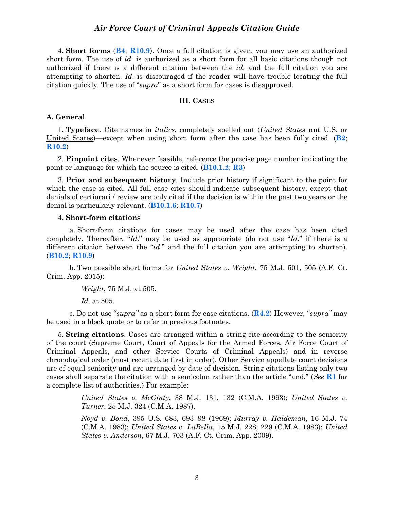4. **Short forms** (**B4**; **R10.9**). Once a full citation is given, you may use an authorized short form. The use of *id*. is authorized as a short form for all basic citations though not authorized if there is a different citation between the *id*. and the full citation you are attempting to shorten. *Id*. is discouraged if the reader will have trouble locating the full citation quickly. The use of "*supra*" as a short form for cases is disapproved.

## **III. CASES**

#### <span id="page-4-1"></span><span id="page-4-0"></span>**A. General**

1. **Typeface**. Cite names in *italics*, completely spelled out (*United States* **not** U.S. or United States)—except when using short form after the case has been fully cited. (**B2**; **R10.2**)

2. **Pinpoint cites**. Whenever feasible, reference the precise page number indicating the point or language for which the source is cited. (**B10.1.2**; **R3**)

3. **Prior and subsequent history**. Include prior history if significant to the point for which the case is cited. All full case cites should indicate subsequent history, except that denials of certiorari / review are only cited if the decision is within the past two years or the denial is particularly relevant. (**B10.1.6**; **R10.7**)

#### 4. **Short-form citations**

a. Short-form citations for cases may be used after the case has been cited completely. Thereafter, "*Id*." may be used as appropriate (do not use "*Id*." if there is a different citation between the "*id*." and the full citation you are attempting to shorten). (**B10.2**; **R10.9**)

b. Two possible short forms for *United States v. Wright*, 75 M.J. 501, 505 (A.F. Ct. Crim. App. 2015):

*Wright*, 75 M.J. at 505.

*Id*. at 505.

c. Do not use "*supra"* as a short form for case citations. (**R4.2**) However, "*supra"* may be used in a block quote or to refer to previous footnotes.

5. **String citations**. Cases are arranged within a string cite according to the seniority of the court (Supreme Court, Court of Appeals for the Armed Forces, Air Force Court of Criminal Appeals, and other Service Courts of Criminal Appeals) and in reverse chronological order (most recent date first in order). Other Service appellate court decisions are of equal seniority and are arranged by date of decision. String citations listing only two cases shall separate the citation with a semicolon rather than the article "and." (*See* **R1** for a complete list of authorities.) For example:

> *United States v. McGinty*, 38 M.J. 131, 132 (C.M.A. 1993); *United States v. Turner*, 25 M.J. 324 (C.M.A. 1987).

> *Noyd v. Bond*, 395 U.S. 683, 693–98 (1969); *Murray v. Haldeman*, 16 M.J. 74 (C.M.A. 1983); *United States v. LaBella*, 15 M.J. 228, 229 (C.M.A. 1983); *United States v. Anderson*, 67 M.J. 703 (A.F. Ct. Crim. App. 2009).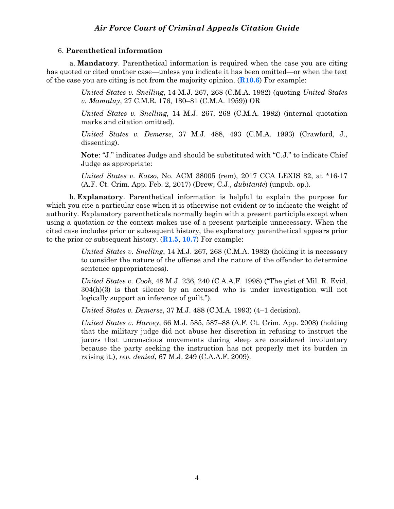#### 6. **Parenthetical information**

a. **Mandatory**. Parenthetical information is required when the case you are citing has quoted or cited another case—unless you indicate it has been omitted—or when the text of the case you are citing is not from the majority opinion. (**R10.6**) For example:

> *United States v. Snelling*, 14 M.J. 267, 268 (C.M.A. 1982) (quoting *United States v. Mamaluy*, 27 C.M.R. 176, 180–81 (C.M.A. 1959)) OR

> *United States v. Snelling*, 14 M.J. 267, 268 (C.M.A. 1982) (internal quotation marks and citation omitted).

> *United States v. Demerse*, 37 M.J. 488, 493 (C.M.A. 1993) (Crawford, J., dissenting).

> **Note**: "J." indicates Judge and should be substituted with "C.J." to indicate Chief Judge as appropriate:

> *United States v. Katso*, No. ACM 38005 (rem), 2017 CCA LEXIS 82, at \*16-17 (A.F. Ct. Crim. App. Feb. 2, 2017) (Drew, C.J., *dubitante*) (unpub. op.).

b. **Explanatory**. Parenthetical information is helpful to explain the purpose for which you cite a particular case when it is otherwise not evident or to indicate the weight of authority. Explanatory parentheticals normally begin with a present participle except when using a quotation or the context makes use of a present participle unnecessary. When the cited case includes prior or subsequent history, the explanatory parenthetical appears prior to the prior or subsequent history. (**R1.5**, **10.7**) For example:

> *United States v. Snelling*, 14 M.J. 267, 268 (C.M.A. 1982) (holding it is necessary to consider the nature of the offense and the nature of the offender to determine sentence appropriateness).

> *United States v. Cook,* 48 M.J. 236, 240 (C.A.A.F. 1998) ("The gist of Mil. R. Evid. 304(h)(3) is that silence by an accused who is under investigation will not logically support an inference of guilt.").

*United States v. Demerse*, 37 M.J. 488 (C.M.A. 1993) (4–1 decision).

*United States v. Harvey*, 66 M.J. 585, 587–88 (A.F. Ct. Crim. App. 2008) (holding that the military judge did not abuse her discretion in refusing to instruct the jurors that unconscious movements during sleep are considered involuntary because the party seeking the instruction has not properly met its burden in raising it.), *rev. denied*, 67 M.J. 249 (C.A.A.F. 2009).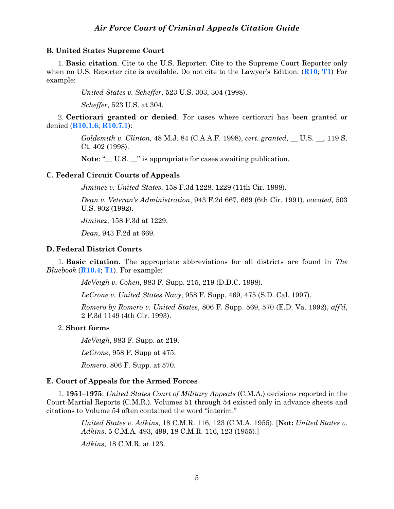#### <span id="page-6-0"></span>**B. United States Supreme Court**

1. **Basic citation**. Cite to the U.S. Reporter. Cite to the Supreme Court Reporter only when no U.S. Reporter cite is available. Do not cite to the Lawyer's Edition. (**R10**; **T1**) For example:

*United States v. Scheffer*, 523 U.S. 303, 304 (1998).

*Scheffer*, 523 U.S. at 304.

2. **Certiorari granted or denied**. For cases where certiorari has been granted or denied (**B10.1.6**; **R10.7.1**):

> *Goldsmith v. Clinton,* 48 M.J. 84 (C.A.A.F. 1998), *cert. granted*, \_\_ U.S. \_\_, 119 S. Ct. 402 (1998).

Note: " $\_\_$  U.S.  $\_\_$ " is appropriate for cases awaiting publication.

## <span id="page-6-1"></span>**C. Federal Circuit Courts of Appeals**

*Jiminez v. United States*, 158 F.3d 1228, 1229 (11th Cir. 1998).

*Dean v. Veteran's Administration*, 943 F.2d 667, 669 (6th Cir. 1991), *vacated,* 503 U.S. 902 (1992).

*Jiminez*, 158 F.3d at 1229.

*Dean*, 943 F.2d at 669.

### <span id="page-6-2"></span>**D. Federal District Courts**

1. **Basic citation**. The appropriate abbreviations for all districts are found in *The Bluebook* (**R10.4**; **T1**). For example:

*McVeigh v. Cohen*, 983 F. Supp. 215, 219 (D.D.C. 1998).

*LeCrone v. United States Navy*, 958 F. Supp. 469, 475 (S.D. Cal. 1997).

*Romero by Romero v. United States*, 806 F. Supp. 569, 570 (E.D. Va. 1992), *aff'd*, 2 F.3d 1149 (4th Cir. 1993).

#### 2. **Short forms**

*McVeigh*, 983 F. Supp. at 219.

*LeCrone*, 958 F. Supp at 475.

*Romero*, 806 F. Supp. at 570.

#### <span id="page-6-3"></span>**E. Court of Appeals for the Armed Forces**

1. **1951–1975**: *United States Court of Military Appeals* (C.M.A.) decisions reported in the Court-Martial Reports (C.M.R.). Volumes 51 through 54 existed only in advance sheets and citations to Volume 54 often contained the word "interim."

> *United States v. Adkins*, 18 C.M.R. 116, 123 (C.M.A. 1955). [**Not:** *United States v. Adkins*, 5 C.M.A. 493, 499, 18 C.M.R. 116, 123 (1955).]

*Adkins*, 18 C.M.R. at 123.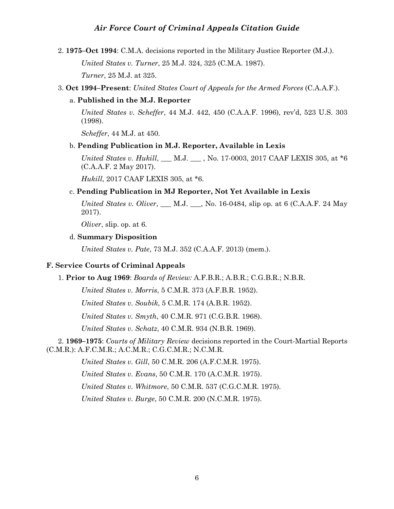2. **1975–Oct 1994**: C.M.A. decisions reported in the Military Justice Reporter (M.J.).

*United States v. Turner*, 25 M.J. 324, 325 (C.M.A. 1987).

*Turner*, 25 M.J. at 325.

#### 3. **Oct 1994–Present**: *United States Court of Appeals for the Armed Forces* (C.A.A.F.).

#### a. **Published in the M.J. Reporter**

*United States v. Scheffer*, 44 M.J. 442, 450 (C.A.A.F. 1996), rev'd, 523 U.S. 303 (1998).

*Scheffer*, 44 M.J. at 450.

#### b. **Pending Publication in M.J. Reporter, Available in Lexis**

*United States v. Hukill*, \_\_\_ M.J. \_\_\_ , No. 17-0003, 2017 CAAF LEXIS 305, at \*6 (C.A.A.F. 2 May 2017).

*Hukill*, 2017 CAAF LEXIS 305, at \*6.

#### c. **Pending Publication in MJ Reporter, Not Yet Available in Lexis**

*United States v. Oliver*, <u>\_\_\_</u> M.J. \_\_\_, No. 16-0484, slip op. at 6 (C.A.A.F. 24 May 2017).

*Oliver*, slip. op. at 6.

#### d. **Summary Disposition**

*United States v. Pate*, 73 M.J. 352 (C.A.A.F. 2013) (mem.).

#### <span id="page-7-0"></span>**F. Service Courts of Criminal Appeals**

#### 1. **Prior to Aug 1969**: *Boards of Review:* A.F.B.R.; A.B.R.; C.G.B.R.; N.B.R.

*United States v. Morris*, 5 C.M.R. 373 (A.F.B.R. 1952).

*United States v. Soubik*, 5 C.M.R. 174 (A.B.R. 1952).

*United States v. Smyth*, 40 C.M.R. 971 (C.G.B.R. 1968).

*United States v. Schatz*, 40 C.M.R. 934 (N.B.R. 1969).

2. **1969–1975**: *Courts of Military Review* decisions reported in the Court-Martial Reports (C.M.R.): A.F.C.M.R.; A.C.M.R.; C.G.C.M.R.; N.C.M.R.

*United States v. Gill*, 50 C.M.R. 206 (A.F.C.M.R. 1975).

*United States v. Evans*, 50 C.M.R. 170 (A.C.M.R. 1975).

*United States v. Whitmore*, 50 C.M.R. 537 (C.G.C.M.R. 1975).

*United States v. Burge*, 50 C.M.R. 200 (N.C.M.R. 1975).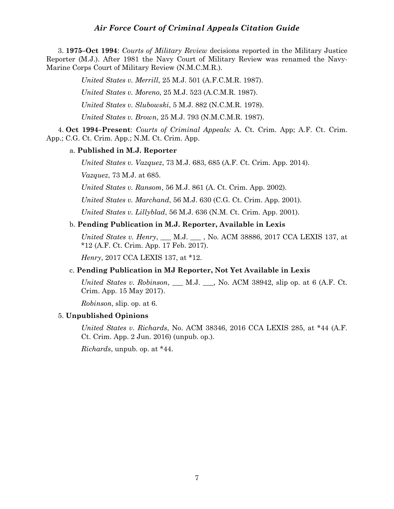3. **1975–Oct 1994**: *Courts of Military Review* decisions reported in the Military Justice Reporter (M.J.). After 1981 the Navy Court of Military Review was renamed the Navy-Marine Corps Court of Military Review (N.M.C.M.R.).

*United States v. Merrill*, 25 M.J. 501 (A.F.C.M.R. 1987).

*United States v. Moreno*, 25 M.J. 523 (A.C.M.R. 1987).

*United States v. Slubowski*, 5 M.J. 882 (N.C.M.R. 1978).

*United States v. Brown*, 25 M.J. 793 (N.M.C.M.R. 1987).

4. **Oct 1994–Present**: *Courts of Criminal Appeals:* A. Ct. Crim. App; A.F. Ct. Crim. App.; C.G. Ct. Crim. App.; N.M. Ct. Crim. App.

### a. **Published in M.J. Reporter**

*United States v. Vazquez*, 73 M.J. 683, 685 (A.F. Ct. Crim. App. 2014).

*Vazquez*, 73 M.J. at 685.

*United States v. Ransom*, 56 M.J. 861 (A. Ct. Crim. App. 2002).

*United States v. Marchand*, 56 M.J. 630 (C.G. Ct. Crim. App. 2001).

*United States v. Lillyblad*, 56 M.J. 636 (N.M. Ct. Crim. App. 2001).

#### b. **Pending Publication in M.J. Reporter, Available in Lexis**

*United States v. Henry*, \_\_\_ M.J. \_\_\_ , No. ACM 38886, 2017 CCA LEXIS 137, at \*12 (A.F. Ct. Crim. App. 17 Feb. 2017).

*Henry*, 2017 CCA LEXIS 137, at \*12.

#### c. **Pending Publication in MJ Reporter, Not Yet Available in Lexis**

*United States v. Robinson*, \_\_\_ M.J. \_\_\_, No. ACM 38942, slip op. at 6 (A.F. Ct. Crim. App. 15 May 2017).

*Robinson*, slip. op. at 6.

#### 5. **Unpublished Opinions**

*United States v. Richards*, No. ACM 38346, 2016 CCA LEXIS 285, at \*44 (A.F. Ct. Crim. App. 2 Jun. 2016) (unpub. op.).

*Richards*, unpub. op. at \*44.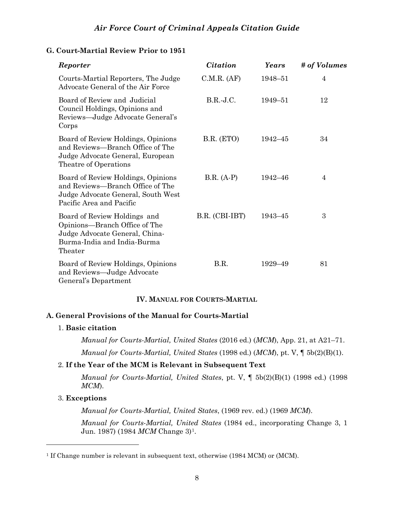## <span id="page-9-0"></span>**G. Court-Martial Review Prior to 1951**

| Reporter                                                                                                                                  | <b>Citation</b> | Years       | # of Volumes   |
|-------------------------------------------------------------------------------------------------------------------------------------------|-----------------|-------------|----------------|
| Courts-Martial Reporters, The Judge<br>Advocate General of the Air Force                                                                  | C.M.R. (AF)     | 1948-51     | $\overline{4}$ |
| Board of Review and Judicial<br>Council Holdings, Opinions and<br>Reviews—Judge Advocate General's<br>Corps                               | $B.R.-J.C.$     | 1949–51     | 12             |
| Board of Review Holdings, Opinions<br>and Reviews—Branch Office of The<br>Judge Advocate General, European<br>Theatre of Operations       | B.R. (ETO)      | $1942 - 45$ | 34             |
| Board of Review Holdings, Opinions<br>and Reviews-Branch Office of The<br>Judge Advocate General, South West<br>Pacific Area and Pacific  | $B.R. (A-P)$    | 1942-46     | 4              |
| Board of Review Holdings and<br>Opinions—Branch Office of The<br>Judge Advocate General, China-<br>Burma-India and India-Burma<br>Theater | B.R. (CBI-IBT)  | $1943 - 45$ | 3              |
| Board of Review Holdings, Opinions<br>and Reviews-Judge Advocate<br>General's Department                                                  | B.R.            | 1929-49     | 81             |

## **IV. MANUAL FOR COURTS-MARTIAL**

## <span id="page-9-2"></span><span id="page-9-1"></span>**A. General Provisions of the Manual for Courts-Martial**

## 1. **Basic citation**

*Manual for Courts-Martial, United States* (2016 ed.) (*MCM*), App. 21, at A21–71. *Manual for Courts-Martial, United States* (1998 ed.) (*MCM*), pt. V, ¶ 5b(2)(B)(1).

## 2. **If the Year of the MCM is Relevant in Subsequent Text**

*Manual for Courts-Martial, United States*, pt. V, ¶ 5b(2)(B)(1) (1998 ed.) (1998 *MCM*).

## 3. **Exceptions**

*Manual for Courts-Martial, United States*, (1969 rev. ed.) (1969 *MCM*).

*Manual for Courts-Martial, United States* (1984 ed., incorporating Change 3, 1 Jun. 1987) (1984 *MCM* Change 3)[1](#page-9-3).

<span id="page-9-3"></span><sup>1</sup> If Change number is relevant in subsequent text, otherwise (1984 MCM) or (MCM).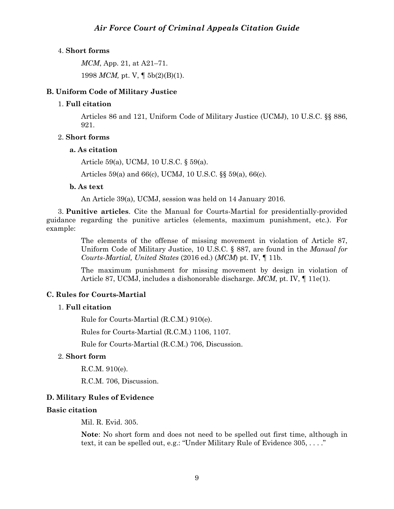## 4. **Short forms**

*MCM*, App. 21, at A21–71.

1998 *MCM,* pt. V, ¶ 5b(2)(B)(1).

## <span id="page-10-0"></span>**B. Uniform Code of Military Justice**

## 1. **Full citation**

Articles 86 and 121, Uniform Code of Military Justice (UCMJ), 10 U.S.C. §§ 886, 921.

## 2. **Short forms**

## **a. As citation**

Article 59(a), UCMJ, 10 U.S.C. § 59(a).

Articles 59(a) and 66(c), UCMJ, 10 U.S.C. §§ 59(a), 66(c).

## **b. As text**

An Article 39(a), UCMJ, session was held on 14 January 2016.

3. **Punitive articles**. Cite the Manual for Courts-Martial for presidentially-provided guidance regarding the punitive articles (elements, maximum punishment, etc.). For example:

> The elements of the offense of missing movement in violation of Article 87, Uniform Code of Military Justice, 10 U.S.C. § 887, are found in the *Manual for Courts-Martial, United States* (2016 ed.) (*MCM*) pt. IV, ¶ 11b.

> The maximum punishment for missing movement by design in violation of Article 87, UCMJ, includes a dishonorable discharge. *MCM*, pt. IV, ¶ 11e(1).

## <span id="page-10-1"></span>**C. Rules for Courts-Martial**

## 1. **Full citation**

Rule for Courts-Martial (R.C.M.) 910(e).

Rules for Courts-Martial (R.C.M.) 1106, 1107.

Rule for Courts-Martial (R.C.M.) 706, Discussion.

## 2. **Short form**

R.C.M. 910(e).

R.C.M. 706, Discussion.

## <span id="page-10-2"></span>**D. Military Rules of Evidence**

## **Basic citation**

Mil. R. Evid. 305.

**Note**: No short form and does not need to be spelled out first time, although in text, it can be spelled out, e.g.: "Under Military Rule of Evidence 305, . . . ."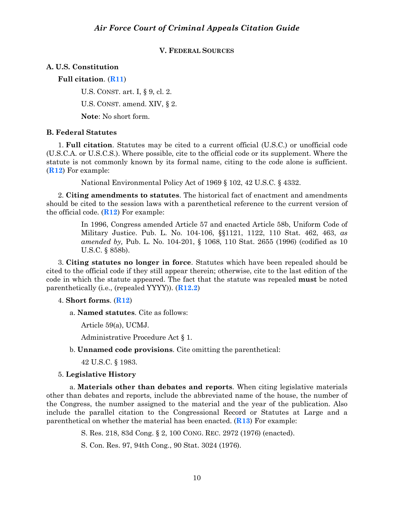### **V. FEDERAL SOURCES**

## <span id="page-11-1"></span><span id="page-11-0"></span>**A. U.S. Constitution**

**Full citation**. (**R11**)

U.S. CONST. art. I, § 9, cl. 2.

U.S. CONST. amend. XIV, § 2.

**Note**: No short form.

## <span id="page-11-2"></span>**B. Federal Statutes**

1. **Full citation**. Statutes may be cited to a current official (U.S.C.) or unofficial code (U.S.C.A. or U.S.C.S.). Where possible, cite to the official code or its supplement. Where the statute is not commonly known by its formal name, citing to the code alone is sufficient. (**R12**) For example:

National Environmental Policy Act of 1969 § 102, 42 U.S.C. § 4332.

2. **Citing amendments to statutes**. The historical fact of enactment and amendments should be cited to the session laws with a parenthetical reference to the current version of the official code. (**R12**) For example:

> In 1996, Congress amended Article 57 and enacted Article 58b, Uniform Code of Military Justice. Pub. L. No. 104-106, §§1121, 1122, 110 Stat. 462, 463, *as amended by,* Pub. L. No. 104-201, § 1068, 110 Stat. 2655 (1996) (codified as 10 U.S.C. § 858b).

3. **Citing statutes no longer in force**. Statutes which have been repealed should be cited to the official code if they still appear therein; otherwise, cite to the last edition of the code in which the statute appeared. The fact that the statute was repealed **must** be noted parenthetically (i.e., (repealed YYYY)). (**R12.2**)

## 4. **Short forms**. (**R12**)

a. **Named statutes**. Cite as follows:

Article 59(a), UCMJ.

Administrative Procedure Act § 1.

b. **Unnamed code provisions**. Cite omitting the parenthetical:

42 U.S.C. § 1983.

## 5. **Legislative History**

a. **Materials other than debates and reports**. When citing legislative materials other than debates and reports, include the abbreviated name of the house, the number of the Congress, the number assigned to the material and the year of the publication. Also include the parallel citation to the Congressional Record or Statutes at Large and a parenthetical on whether the material has been enacted. (**R13**) For example:

S. Res. 218, 83d Cong. § 2, 100 CONG. REC. 2972 (1976) (enacted).

S. Con. Res. 97, 94th Cong., 90 Stat. 3024 (1976).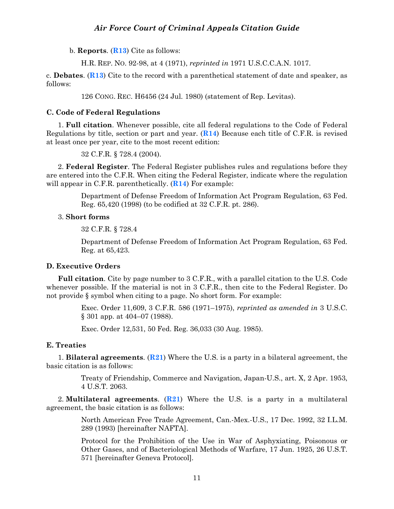b. **Reports**. (**R13**) Cite as follows:

H.R. REP. NO. 92-98, at 4 (1971), *reprinted in* 1971 U.S.C.C.A.N. 1017.

c. **Debates**. (**R13**) Cite to the record with a parenthetical statement of date and speaker, as follows:

126 CONG. REC. H6456 (24 Jul. 1980) (statement of Rep. Levitas).

### <span id="page-12-0"></span>**C. Code of Federal Regulations**

1. **Full citation**. Whenever possible, cite all federal regulations to the Code of Federal Regulations by title, section or part and year. (**R14**) Because each title of C.F.R. is revised at least once per year, cite to the most recent edition:

32 C.F.R. § 728.4 (2004).

2. **Federal Register**. The Federal Register publishes rules and regulations before they are entered into the C.F.R. When citing the Federal Register, indicate where the regulation will appear in C.F.R. parenthetically. (**R14**) For example:

> Department of Defense Freedom of Information Act Program Regulation, 63 Fed. Reg. 65,420 (1998) (to be codified at 32 C.F.R. pt. 286).

## 3. **Short forms**

32 C.F.R. § 728.4

Department of Defense Freedom of Information Act Program Regulation, 63 Fed. Reg. at 65,423.

#### <span id="page-12-1"></span>**D. Executive Orders**

**Full citation**. Cite by page number to 3 C.F.R., with a parallel citation to the U.S. Code whenever possible. If the material is not in 3 C.F.R., then cite to the Federal Register. Do not provide § symbol when citing to a page. No short form. For example:

> Exec. Order 11,609, 3 C.F.R. 586 (1971–1975), *reprinted as amended in* 3 U.S.C. § 301 app. at 404–07 (1988).

Exec. Order 12,531, 50 Fed. Reg. 36,033 (30 Aug. 1985).

#### <span id="page-12-2"></span>**E. Treaties**

1. **Bilateral agreements**. (**R21**) Where the U.S. is a party in a bilateral agreement, the basic citation is as follows:

> Treaty of Friendship, Commerce and Navigation, Japan-U.S., art. X, 2 Apr. 1953, 4 U.S.T. 2063.

2. **Multilateral agreements**. (**R21**) Where the U.S. is a party in a multilateral agreement, the basic citation is as follows:

> North American Free Trade Agreement, Can.-Mex.-U.S., 17 Dec. 1992, 32 I.L.M. 289 (1993) [hereinafter NAFTA].

> Protocol for the Prohibition of the Use in War of Asphyxiating, Poisonous or Other Gases, and of Bacteriological Methods of Warfare, 17 Jun. 1925, 26 U.S.T. 571 [hereinafter Geneva Protocol].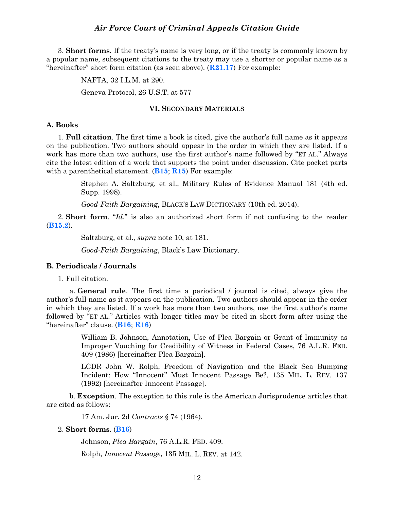3. **Short forms**. If the treaty's name is very long, or if the treaty is commonly known by a popular name, subsequent citations to the treaty may use a shorter or popular name as a "hereinafter" short form citation (as seen above). (**R21.17**) For example:

NAFTA, 32 I.L.M. at 290.

Geneva Protocol, 26 U.S.T. at 577

#### **VI. SECONDARY MATERIALS**

## <span id="page-13-1"></span><span id="page-13-0"></span>**A. Books**

1. **Full citation**. The first time a book is cited, give the author's full name as it appears on the publication. Two authors should appear in the order in which they are listed. If a work has more than two authors, use the first author's name followed by "ET AL." Always cite the latest edition of a work that supports the point under discussion. Cite pocket parts with a parenthetical statement. (**B15**; **R15**) For example:

> Stephen A. Saltzburg, et al., Military Rules of Evidence Manual 181 (4th ed. Supp. 1998).

*Good-Faith Bargaining*, BLACK'S LAW DICTIONARY (10th ed. 2014).

2. **Short form**. "*Id*." is also an authorized short form if not confusing to the reader (**B15.2**).

Saltzburg, et al., *supra* note 10, at 181.

*Good-Faith Bargaining*, Black's Law Dictionary.

#### <span id="page-13-2"></span>**B. Periodicals / Journals**

1. Full citation.

a. **General rule**. The first time a periodical / journal is cited, always give the author's full name as it appears on the publication. Two authors should appear in the order in which they are listed. If a work has more than two authors, use the first author's name followed by "ET AL." Articles with longer titles may be cited in short form after using the "hereinafter" clause. (**B16**; **R16**)

> William B. Johnson, Annotation, Use of Plea Bargain or Grant of Immunity as Improper Vouching for Credibility of Witness in Federal Cases, 76 A.L.R. FED. 409 (1986) [hereinafter Plea Bargain].

> LCDR John W. Rolph, Freedom of Navigation and the Black Sea Bumping Incident: How "Innocent" Must Innocent Passage Be?, 135 MIL. L. REV. 137 (1992) [hereinafter Innocent Passage].

b. **Exception**. The exception to this rule is the American Jurisprudence articles that are cited as follows:

17 Am. Jur. 2d *Contracts* § 74 (1964).

2. **Short forms**. (**B16**)

Johnson, *Plea Bargain*, 76 A.L.R. FED. 409.

Rolph, *Innocent Passage*, 135 MIL. L. REV. at 142.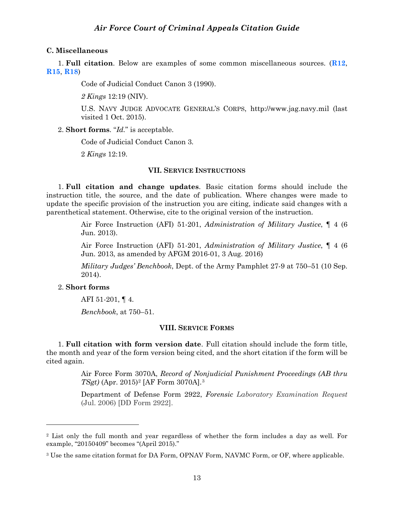## <span id="page-14-0"></span>**C. Miscellaneous**

1. **Full citation**. Below are examples of some common miscellaneous sources. (**R12**, **R15**, **R18**)

Code of Judicial Conduct Canon 3 (1990).

*2 Kings* 12:19 (NIV).

U.S. NAVY JUDGE ADVOCATE GENERAL'S CORPS, http://www.jag.navy.mil (last visited 1 Oct. 2015).

2. **Short forms**. "*Id.*" is acceptable.

Code of Judicial Conduct Canon 3.

2 *Kings* 12:19.

#### **VII. SERVICE INSTRUCTIONS**

<span id="page-14-1"></span>1. **Full citation and change updates**. Basic citation forms should include the instruction title, the source, and the date of publication. Where changes were made to update the specific provision of the instruction you are citing, indicate said changes with a parenthetical statement. Otherwise, cite to the original version of the instruction.

> Air Force Instruction (AFI) 51-201, *Administration of Military Justice*, ¶ 4 (6 Jun. 2013).

> Air Force Instruction (AFI) 51-201, *Administration of Military Justice*, ¶ 4 (6 Jun. 2013, as amended by AFGM 2016-01, 3 Aug. 2016)

> *Military Judges' Benchbook*, Dept. of the Army Pamphlet 27-9 at 750–51 (10 Sep. 2014).

## 2. **Short forms**

 $\overline{a}$ 

AFI 51-201, ¶ 4.

*Benchbook*, at 750–51.

## **VIII. SERVICE FORMS**

<span id="page-14-2"></span>1. **Full citation with form version date**. Full citation should include the form title, the month and year of the form version being cited, and the short citation if the form will be cited again.

> Air Force Form 3070A, *Record of Nonjudicial Punishment Proceedings (AB thru TSgt)* (Apr. 2015)[2](#page-14-3) [AF Form 3070A].[3](#page-14-4)

> Department of Defense Form 2922, *Forensic Laboratory Examination Request* (Jul. 2006) [DD Form 2922].

<span id="page-14-3"></span><sup>2</sup> List only the full month and year regardless of whether the form includes a day as well. For example, "20150409" becomes "(April 2015)."

<span id="page-14-4"></span><sup>3</sup> Use the same citation format for DA Form, OPNAV Form, NAVMC Form, or OF, where applicable.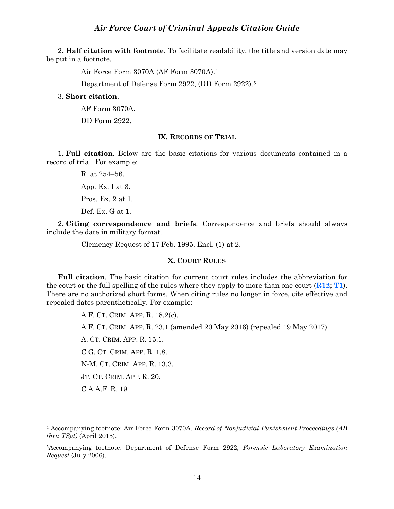2. **Half citation with footnote**. To facilitate readability, the title and version date may be put in a footnote.

Air Force Form 3070A (AF Form 3070A).[4](#page-15-2)

Department of Defense Form 2922, (DD Form 2922).[5](#page-15-3)

## 3. **Short citation**.

AF Form 3070A.

DD Form 2922.

### **IX. RECORDS OF TRIAL**

<span id="page-15-0"></span>1. **Full citation**. Below are the basic citations for various documents contained in a record of trial. For example:

> R. at 254–56. App. Ex. I at 3. Pros. Ex. 2 at 1. Def. Ex. G at 1.

 $\overline{a}$ 

2. **Citing correspondence and briefs**. Correspondence and briefs should always include the date in military format.

Clemency Request of 17 Feb. 1995, Encl. (1) at 2.

### **X. COURT RULES**

<span id="page-15-1"></span>**Full citation**. The basic citation for current court rules includes the abbreviation for the court or the full spelling of the rules where they apply to more than one court (**R12**; **T1**). There are no authorized short forms. When citing rules no longer in force, cite effective and repealed dates parenthetically. For example:

> A.F. CT. CRIM. APP. R. 18.2(c). A.F. CT. CRIM. APP. R. 23.1 (amended 20 May 2016) (repealed 19 May 2017). A. CT. CRIM. APP. R. 15.1. C.G. CT. CRIM. APP. R. 1.8. N-M. CT. CRIM. APP. R. 13.3. JT. CT. CRIM. APP. R. 20. C.A.A.F. R. 19.

<span id="page-15-2"></span><sup>4</sup> Accompanying footnote: Air Force Form 3070A, *Record of Nonjudicial Punishment Proceedings (AB thru TSgt)* (April 2015).

<span id="page-15-3"></span><sup>5</sup>Accompanying footnote: Department of Defense Form 2922, *Forensic Laboratory Examination Request* (July 2006).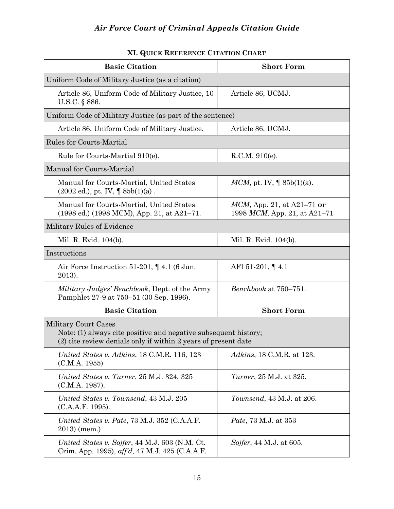<span id="page-16-0"></span>

| <b>Basic Citation</b>                                                                                                                                     | <b>Short Form</b>                                             |  |  |  |
|-----------------------------------------------------------------------------------------------------------------------------------------------------------|---------------------------------------------------------------|--|--|--|
| Uniform Code of Military Justice (as a citation)                                                                                                          |                                                               |  |  |  |
| Article 86, Uniform Code of Military Justice, 10<br>U.S.C. § 886.                                                                                         | Article 86, UCMJ.                                             |  |  |  |
| Uniform Code of Military Justice (as part of the sentence)                                                                                                |                                                               |  |  |  |
| Article 86, Uniform Code of Military Justice.                                                                                                             | Article 86, UCMJ.                                             |  |  |  |
| <b>Rules for Courts-Martial</b>                                                                                                                           |                                                               |  |  |  |
| Rule for Courts-Martial 910(e).                                                                                                                           | R.C.M. 910(e).                                                |  |  |  |
| Manual for Courts-Martial                                                                                                                                 |                                                               |  |  |  |
| Manual for Courts-Martial, United States<br>$(2002 \text{ ed.}), \text{pt. IV}, \P 85b(1)(a)$ .                                                           | <i>MCM</i> , pt. IV, $\P$ 85b(1)(a).                          |  |  |  |
| Manual for Courts-Martial, United States<br>$(1998 \text{ ed.}) (1998 \text{ MCM})$ , App. 21, at A21-71.                                                 | $MCM$ , App. 21, at A21–71 or<br>1998 MCM, App. 21, at A21–71 |  |  |  |
| Military Rules of Evidence                                                                                                                                |                                                               |  |  |  |
| Mil. R. Evid. 104(b).                                                                                                                                     | Mil. R. Evid. 104(b).                                         |  |  |  |
| Instructions                                                                                                                                              |                                                               |  |  |  |
| Air Force Instruction 51-201, $\P$ 4.1 (6 Jun.<br>2013).                                                                                                  | AFI 51-201, $\P$ 4.1                                          |  |  |  |
| <i>Military Judges' Benchbook, Dept. of the Army</i><br>Pamphlet 27-9 at 750–51 (30 Sep. 1996).                                                           | Benchbook at 750-751.                                         |  |  |  |
| <b>Basic Citation</b>                                                                                                                                     | <b>Short Form</b>                                             |  |  |  |
| Military Court Cases<br>Note: (1) always cite positive and negative subsequent history;<br>(2) cite review denials only if within 2 years of present date |                                                               |  |  |  |
| United States v. Adkins, 18 C.M.R. 116, 123<br>(C.M.A. 1955)                                                                                              | <i>Adkins</i> , 18 C.M.R. at 123.                             |  |  |  |
| United States v. Turner, 25 M.J. 324, 325<br>(C.M.A. 1987).                                                                                               | <i>Turner</i> , 25 M.J. at 325.                               |  |  |  |
| United States v. Townsend, 43 M.J. 205<br>(C.A.A.F. 1995).                                                                                                | <i>Townsend</i> , 43 M.J. at 206.                             |  |  |  |
| United States v. Pate, 73 M.J. 352 (C.A.A.F.<br>$2013$ (mem.)                                                                                             | <i>Pate</i> , 73 M.J. at 353                                  |  |  |  |
| United States v. Sojfer, 44 M.J. 603 (N.M. Ct.<br>Crim. App. 1995), aff'd, 47 M.J. 425 (C.A.A.F.                                                          | Sojfer, 44 M.J. at 605.                                       |  |  |  |

## **XI. QUICK REFERENCE CITATION CHART**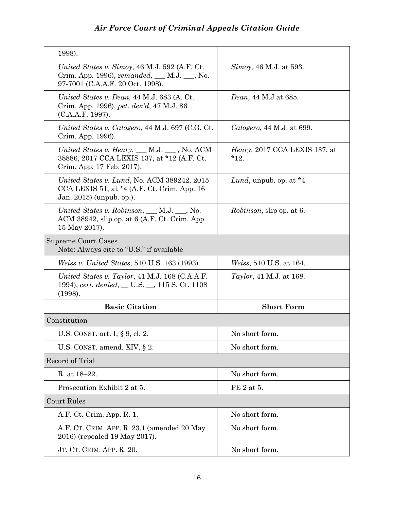| 1998).                                                                                                                                                                   |                                                 |
|--------------------------------------------------------------------------------------------------------------------------------------------------------------------------|-------------------------------------------------|
| United States v. Simoy, 46 M.J. 592 (A.F. Ct.<br>Crim. App. 1996), remanded, __ M.J. __, No.<br>97-7001 (C.A.A.F. 20 Oct. 1998).                                         | Simoy, 46 M.J. at 593.                          |
| United States v. Dean, 44 M.J. 683 (A. Ct.<br>Crim. App. 1996), pet. den'd, 47 M.J. 86<br>(C.A.A.F. 1997).                                                               | <i>Dean</i> , 44 M.J at 685.                    |
| United States v. Calogero, 44 M.J. 697 (C.G. Ct.)<br>Crim. App. 1996).                                                                                                   | Calogero, 44 M.J. at 699.                       |
| United States v. Henry, $\underline{\hspace{1cm}}$ M.J. $\underline{\hspace{1cm}}$ , No. ACM<br>38886, 2017 CCA LEXIS 137, at *12 (A.F. Ct.<br>Crim. App. 17 Feb. 2017). | <i>Henry</i> , 2017 CCA LEXIS 137, at<br>$*12.$ |
| United States v. Lund, No. ACM 389242, 2015<br>CCA LEXIS 51, at $*4$ (A.F. Ct. Crim. App. 16<br>Jan. 2015) (unpub. op.).                                                 | Lund, unpub. op. at $*4$                        |
| United States v. Robinson, $\_\_\_\$ M.J. $\_\_\$ , No.<br>ACM 38942, slip op. at 6 (A.F. Ct. Crim. App.<br>15 May 2017).                                                | <i>Robinson</i> , slip op. at 6.                |
| Supreme Court Cases<br>Note: Always cite to "U.S." if available                                                                                                          |                                                 |
| <i>Weiss v. United States, 510 U.S. 163 (1993).</i>                                                                                                                      | <i>Weiss</i> , 510 U.S. at 164.                 |
| United States v. Taylor, 41 M.J. 168 (C.A.A.F.<br>1994), cert. denied, __ U.S. __, 115 S. Ct. 1108<br>(1998).                                                            | <i>Taylor</i> , 41 M.J. at 168.                 |
| <b>Basic Citation</b>                                                                                                                                                    | <b>Short Form</b>                               |
| Constitution                                                                                                                                                             |                                                 |
| U.S. CONST. art. I, § 9, cl. 2.                                                                                                                                          | No short form.                                  |
| U.S. CONST. amend. XIV, $\S 2$ .                                                                                                                                         | No short form.                                  |
| Record of Trial                                                                                                                                                          |                                                 |
| R. at 18-22.                                                                                                                                                             | No short form.                                  |
| Prosecution Exhibit 2 at 5.                                                                                                                                              | PE 2 at 5.                                      |
| Court Rules                                                                                                                                                              |                                                 |
| A.F. Ct. Crim. App. R. 1.                                                                                                                                                | No short form.                                  |
| A.F. CT. CRIM. APP. R. 23.1 (amended 20 May<br>2016) (repealed 19 May 2017).                                                                                             | No short form.                                  |
| JT. CT. CRIM. APP. R. 20.                                                                                                                                                | No short form.                                  |